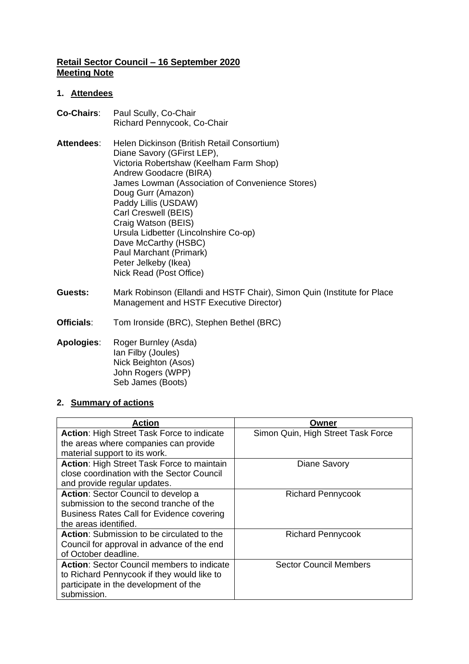## **Retail Sector Council – 16 September 2020 Meeting Note**

### **1. Attendees**

- **Co-Chairs**: Paul Scully, Co-Chair Richard Pennycook, Co-Chair
- Attendees: Helen Dickinson (British Retail Consortium) Diane Savory (GFirst LEP), Victoria Robertshaw (Keelham Farm Shop) Andrew Goodacre (BIRA) James Lowman (Association of Convenience Stores) Doug Gurr (Amazon) Paddy Lillis (USDAW) Carl Creswell (BEIS) Craig Watson (BEIS) Ursula Lidbetter (Lincolnshire Co-op) Dave McCarthy (HSBC) Paul Marchant (Primark) Peter Jelkeby (Ikea) Nick Read (Post Office)
- **Guests:** Mark Robinson (Ellandi and HSTF Chair), Simon Quin (Institute for Place Management and HSTF Executive Director)
- **Officials**: Tom Ironside (BRC), Stephen Bethel (BRC)
- **Apologies**: Roger Burnley (Asda) Ian Filby (Joules) Nick Beighton (Asos) John Rogers (WPP) Seb James (Boots)

### **2. Summary of actions**

| Action                                            | Owner                              |
|---------------------------------------------------|------------------------------------|
| Action: High Street Task Force to indicate        | Simon Quin, High Street Task Force |
| the areas where companies can provide             |                                    |
| material support to its work.                     |                                    |
| <b>Action: High Street Task Force to maintain</b> | Diane Savory                       |
| close coordination with the Sector Council        |                                    |
| and provide regular updates.                      |                                    |
| Action: Sector Council to develop a               | <b>Richard Pennycook</b>           |
| submission to the second tranche of the           |                                    |
| <b>Business Rates Call for Evidence covering</b>  |                                    |
| the areas identified.                             |                                    |
| <b>Action:</b> Submission to be circulated to the | <b>Richard Pennycook</b>           |
| Council for approval in advance of the end        |                                    |
| of October deadline.                              |                                    |
| <b>Action: Sector Council members to indicate</b> | <b>Sector Council Members</b>      |
| to Richard Pennycook if they would like to        |                                    |
| participate in the development of the             |                                    |
| submission.                                       |                                    |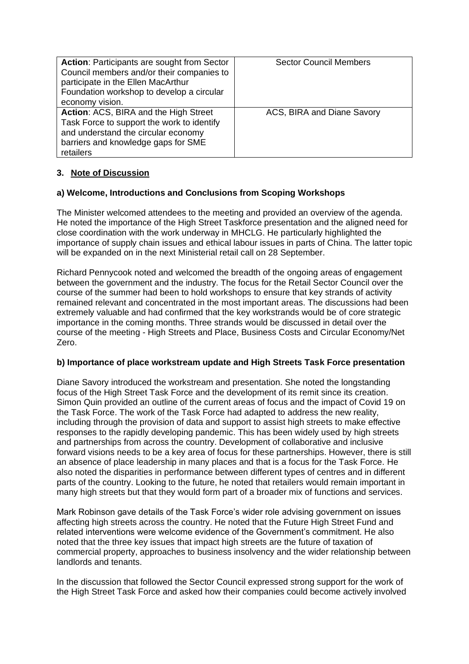| <b>Action: Participants are sought from Sector</b><br>Council members and/or their companies to<br>participate in the Ellen MacArthur<br>Foundation workshop to develop a circular<br>economy vision. | <b>Sector Council Members</b> |
|-------------------------------------------------------------------------------------------------------------------------------------------------------------------------------------------------------|-------------------------------|
| Action: ACS, BIRA and the High Street<br>Task Force to support the work to identify<br>and understand the circular economy<br>barriers and knowledge gaps for SME<br>retailers                        | ACS, BIRA and Diane Savory    |

# **3. Note of Discussion**

## **a) Welcome, Introductions and Conclusions from Scoping Workshops**

The Minister welcomed attendees to the meeting and provided an overview of the agenda. He noted the importance of the High Street Taskforce presentation and the aligned need for close coordination with the work underway in MHCLG. He particularly highlighted the importance of supply chain issues and ethical labour issues in parts of China. The latter topic will be expanded on in the next Ministerial retail call on 28 September.

Richard Pennycook noted and welcomed the breadth of the ongoing areas of engagement between the government and the industry. The focus for the Retail Sector Council over the course of the summer had been to hold workshops to ensure that key strands of activity remained relevant and concentrated in the most important areas. The discussions had been extremely valuable and had confirmed that the key workstrands would be of core strategic importance in the coming months. Three strands would be discussed in detail over the course of the meeting - High Streets and Place, Business Costs and Circular Economy/Net Zero.

### **b) Importance of place workstream update and High Streets Task Force presentation**

Diane Savory introduced the workstream and presentation. She noted the longstanding focus of the High Street Task Force and the development of its remit since its creation. Simon Quin provided an outline of the current areas of focus and the impact of Covid 19 on the Task Force. The work of the Task Force had adapted to address the new reality, including through the provision of data and support to assist high streets to make effective responses to the rapidly developing pandemic. This has been widely used by high streets and partnerships from across the country. Development of collaborative and inclusive forward visions needs to be a key area of focus for these partnerships. However, there is still an absence of place leadership in many places and that is a focus for the Task Force. He also noted the disparities in performance between different types of centres and in different parts of the country. Looking to the future, he noted that retailers would remain important in many high streets but that they would form part of a broader mix of functions and services.

Mark Robinson gave details of the Task Force's wider role advising government on issues affecting high streets across the country. He noted that the Future High Street Fund and related interventions were welcome evidence of the Government's commitment. He also noted that the three key issues that impact high streets are the future of taxation of commercial property, approaches to business insolvency and the wider relationship between landlords and tenants.

In the discussion that followed the Sector Council expressed strong support for the work of the High Street Task Force and asked how their companies could become actively involved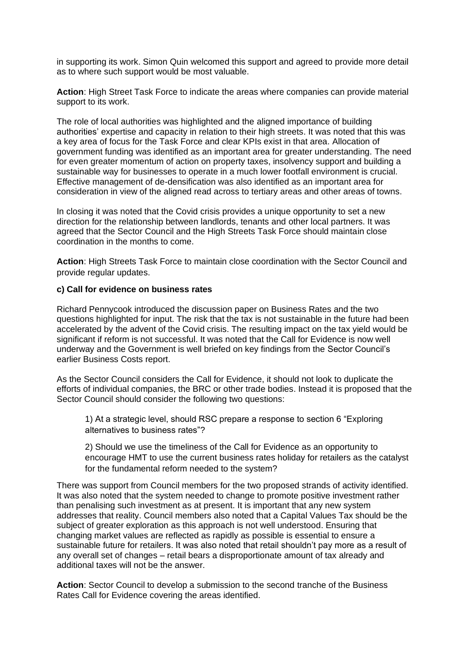in supporting its work. Simon Quin welcomed this support and agreed to provide more detail as to where such support would be most valuable.

**Action**: High Street Task Force to indicate the areas where companies can provide material support to its work.

The role of local authorities was highlighted and the aligned importance of building authorities' expertise and capacity in relation to their high streets. It was noted that this was a key area of focus for the Task Force and clear KPIs exist in that area. Allocation of government funding was identified as an important area for greater understanding. The need for even greater momentum of action on property taxes, insolvency support and building a sustainable way for businesses to operate in a much lower footfall environment is crucial. Effective management of de-densification was also identified as an important area for consideration in view of the aligned read across to tertiary areas and other areas of towns.

In closing it was noted that the Covid crisis provides a unique opportunity to set a new direction for the relationship between landlords, tenants and other local partners. It was agreed that the Sector Council and the High Streets Task Force should maintain close coordination in the months to come.

**Action**: High Streets Task Force to maintain close coordination with the Sector Council and provide regular updates.

#### **c) Call for evidence on business rates**

Richard Pennycook introduced the discussion paper on Business Rates and the two questions highlighted for input. The risk that the tax is not sustainable in the future had been accelerated by the advent of the Covid crisis. The resulting impact on the tax yield would be significant if reform is not successful. It was noted that the Call for Evidence is now well underway and the Government is well briefed on key findings from the Sector Council's earlier Business Costs report.

As the Sector Council considers the Call for Evidence, it should not look to duplicate the efforts of individual companies, the BRC or other trade bodies. Instead it is proposed that the Sector Council should consider the following two questions:

1) At a strategic level, should RSC prepare a response to section 6 "Exploring alternatives to business rates"?

2) Should we use the timeliness of the Call for Evidence as an opportunity to encourage HMT to use the current business rates holiday for retailers as the catalyst for the fundamental reform needed to the system?

There was support from Council members for the two proposed strands of activity identified. It was also noted that the system needed to change to promote positive investment rather than penalising such investment as at present. It is important that any new system addresses that reality. Council members also noted that a Capital Values Tax should be the subject of greater exploration as this approach is not well understood. Ensuring that changing market values are reflected as rapidly as possible is essential to ensure a sustainable future for retailers. It was also noted that retail shouldn't pay more as a result of any overall set of changes – retail bears a disproportionate amount of tax already and additional taxes will not be the answer.

**Action**: Sector Council to develop a submission to the second tranche of the Business Rates Call for Evidence covering the areas identified.